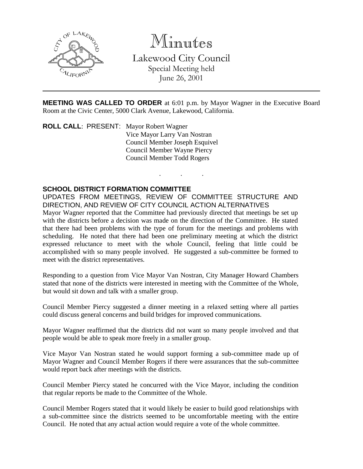

Minutes

Lakewood City Council Special Meeting held June 26, 2001

**MEETING WAS CALLED TO ORDER** at 6:01 p.m. by Mayor Wagner in the Executive Board Room at the Civic Center, 5000 Clark Avenue, Lakewood, California.

. . .

**ROLL CALL**: PRESENT: Mayor Robert Wagner Vice Mayor Larry Van Nostran Council Member Joseph Esquivel Council Member Wayne Piercy Council Member Todd Rogers

## **SCHOOL DISTRICT FORMATION COMMITTEE**

UPDATES FROM MEETINGS, REVIEW OF COMMITTEE STRUCTURE AND DIRECTION, AND REVIEW OF CITY COUNCIL ACTION ALTERNATIVES Mayor Wagner reported that the Committee had previously directed that meetings be set up with the districts before a decision was made on the direction of the Committee. He stated that there had been problems with the type of forum for the meetings and problems with scheduling. He noted that there had been one preliminary meeting at which the district expressed reluctance to meet with the whole Council, feeling that little could be accomplished with so many people involved. He suggested a sub-committee be formed to meet with the district representatives.

Responding to a question from Vice Mayor Van Nostran, City Manager Howard Chambers stated that none of the districts were interested in meeting with the Committee of the Whole, but would sit down and talk with a smaller group.

Council Member Piercy suggested a dinner meeting in a relaxed setting where all parties could discuss general concerns and build bridges for improved communications.

Mayor Wagner reaffirmed that the districts did not want so many people involved and that people would be able to speak more freely in a smaller group.

Vice Mayor Van Nostran stated he would support forming a sub-committee made up of Mayor Wagner and Council Member Rogers if there were assurances that the sub-committee would report back after meetings with the districts.

Council Member Piercy stated he concurred with the Vice Mayor, including the condition that regular reports be made to the Committee of the Whole.

Council Member Rogers stated that it would likely be easier to build good relationships with a sub-committee since the districts seemed to be uncomfortable meeting with the entire Council. He noted that any actual action would require a vote of the whole committee.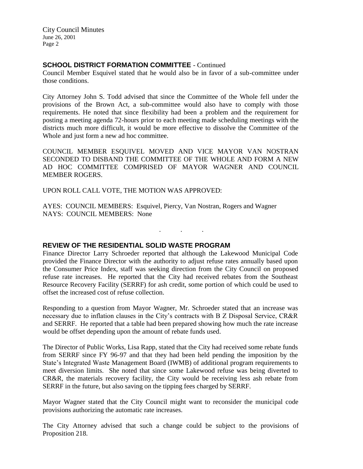City Council Minutes June 26, 2001 Page 2

## **SCHOOL DISTRICT FORMATION COMMITTEE** - Continued

Council Member Esquivel stated that he would also be in favor of a sub-committee under those conditions.

City Attorney John S. Todd advised that since the Committee of the Whole fell under the provisions of the Brown Act, a sub-committee would also have to comply with those requirements. He noted that since flexibility had been a problem and the requirement for posting a meeting agenda 72-hours prior to each meeting made scheduling meetings with the districts much more difficult, it would be more effective to dissolve the Committee of the Whole and just form a new ad hoc committee.

COUNCIL MEMBER ESQUIVEL MOVED AND VICE MAYOR VAN NOSTRAN SECONDED TO DISBAND THE COMMITTEE OF THE WHOLE AND FORM A NEW AD HOC COMMITTEE COMPRISED OF MAYOR WAGNER AND COUNCIL MEMBER ROGERS.

UPON ROLL CALL VOTE, THE MOTION WAS APPROVED:

AYES: COUNCIL MEMBERS: Esquivel, Piercy, Van Nostran, Rogers and Wagner NAYS: COUNCIL MEMBERS: None

**REVIEW OF THE RESIDENTIAL SOLID WASTE PROGRAM**

Finance Director Larry Schroeder reported that although the Lakewood Municipal Code provided the Finance Director with the authority to adjust refuse rates annually based upon the Consumer Price Index, staff was seeking direction from the City Council on proposed refuse rate increases. He reported that the City had received rebates from the Southeast Resource Recovery Facility (SERRF) for ash credit, some portion of which could be used to offset the increased cost of refuse collection.

. . .

Responding to a question from Mayor Wagner, Mr. Schroeder stated that an increase was necessary due to inflation clauses in the City's contracts with B Z Disposal Service, CR&R and SERRF. He reported that a table had been prepared showing how much the rate increase would be offset depending upon the amount of rebate funds used.

The Director of Public Works, Lisa Rapp, stated that the City had received some rebate funds from SERRF since FY 96-97 and that they had been held pending the imposition by the State's Integrated Waste Management Board (IWMB) of additional program requirements to meet diversion limits. She noted that since some Lakewood refuse was being diverted to CR&R, the materials recovery facility, the City would be receiving less ash rebate from SERRF in the future, but also saving on the tipping fees charged by SERRF.

Mayor Wagner stated that the City Council might want to reconsider the municipal code provisions authorizing the automatic rate increases.

The City Attorney advised that such a change could be subject to the provisions of Proposition 218.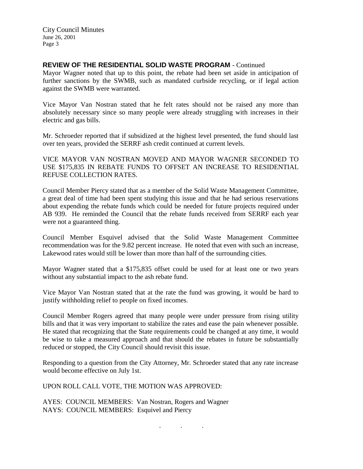## **REVIEW OF THE RESIDENTIAL SOLID WASTE PROGRAM** - Continued

Mayor Wagner noted that up to this point, the rebate had been set aside in anticipation of further sanctions by the SWMB, such as mandated curbside recycling, or if legal action against the SWMB were warranted.

Vice Mayor Van Nostran stated that he felt rates should not be raised any more than absolutely necessary since so many people were already struggling with increases in their electric and gas bills.

Mr. Schroeder reported that if subsidized at the highest level presented, the fund should last over ten years, provided the SERRF ash credit continued at current levels.

VICE MAYOR VAN NOSTRAN MOVED AND MAYOR WAGNER SECONDED TO USE \$175,835 IN REBATE FUNDS TO OFFSET AN INCREASE TO RESIDENTIAL REFUSE COLLECTION RATES.

Council Member Piercy stated that as a member of the Solid Waste Management Committee, a great deal of time had been spent studying this issue and that he had serious reservations about expending the rebate funds which could be needed for future projects required under AB 939. He reminded the Council that the rebate funds received from SERRF each year were not a guaranteed thing.

Council Member Esquivel advised that the Solid Waste Management Committee recommendation was for the 9.82 percent increase. He noted that even with such an increase, Lakewood rates would still be lower than more than half of the surrounding cities.

Mayor Wagner stated that a \$175,835 offset could be used for at least one or two years without any substantial impact to the ash rebate fund.

Vice Mayor Van Nostran stated that at the rate the fund was growing, it would be hard to justify withholding relief to people on fixed incomes.

Council Member Rogers agreed that many people were under pressure from rising utility bills and that it was very important to stabilize the rates and ease the pain whenever possible. He stated that recognizing that the State requirements could be changed at any time, it would be wise to take a measured approach and that should the rebates in future be substantially reduced or stopped, the City Council should revisit this issue.

Responding to a question from the City Attorney, Mr. Schroeder stated that any rate increase would become effective on July 1st.

UPON ROLL CALL VOTE, THE MOTION WAS APPROVED:

AYES: COUNCIL MEMBERS: Van Nostran, Rogers and Wagner NAYS: COUNCIL MEMBERS: Esquivel and Piercy

. . .